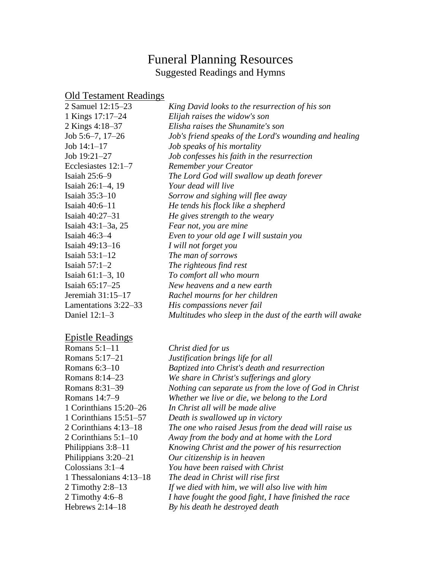### Funeral Planning Resources Suggested Readings and Hymns

# Old Testament Readings

| 2 Samuel 12:15–23     | King David looks to the resurrection of his son          |
|-----------------------|----------------------------------------------------------|
| 1 Kings 17:17-24      | Elijah raises the widow's son                            |
| 2 Kings 4:18-37       | Elisha raises the Shunamite's son                        |
| Job $5:6-7$ , $17-26$ | Job's friend speaks of the Lord's wounding and healing   |
| Job $14:1-17$         | Job speaks of his mortality                              |
| Job 19:21-27          | Job confesses his faith in the resurrection              |
| Ecclesiastes $12:1-7$ | Remember your Creator                                    |
| Isaiah $25:6-9$       | The Lord God will swallow up death forever               |
| Isaiah 26:1–4, 19     | Your dead will live                                      |
| Isaiah 35:3-10        | Sorrow and sighing will flee away                        |
| Isaiah $40:6-11$      | He tends his flock like a shepherd                       |
| Isaiah 40:27-31       | He gives strength to the weary                           |
| Isaiah 43:1-3a, 25    | Fear not, you are mine                                   |
| Isaiah $46:3-4$       | Even to your old age I will sustain you                  |
| Isaiah 49:13-16       | I will not forget you                                    |
| Isaiah $53:1-12$      | The man of sorrows                                       |
| Isaiah $57:1-2$       | The righteous find rest                                  |
| Isaiah $61:1-3$ , 10  | To comfort all who mourn                                 |
| Isaiah 65:17-25       | New heavens and a new earth                              |
| Jeremiah $31:15-17$   | Rachel mourns for her children                           |
| Lamentations 3:22–33  | His compassions never fail                               |
| Daniel 12:1-3         | Multitudes who sleep in the dust of the earth will awake |
|                       |                                                          |

# Epistle Readings

| Romans 5:1–11           | Christ died for us                                     |
|-------------------------|--------------------------------------------------------|
| Romans 5:17–21          | Justification brings life for all                      |
| Romans 6:3-10           | Baptized into Christ's death and resurrection          |
| Romans 8:14–23          | We share in Christ's sufferings and glory              |
| Romans 8:31–39          | Nothing can separate us from the love of God in Christ |
| Romans 14:7–9           | Whether we live or die, we belong to the Lord          |
| 1 Corinthians 15:20–26  | In Christ all will be made alive                       |
| 1 Corinthians 15:51–57  | Death is swallowed up in victory                       |
| 2 Corinthians 4:13–18   | The one who raised Jesus from the dead will raise us   |
| 2 Corinthians $5:1-10$  | Away from the body and at home with the Lord           |
| Philippians 3:8–11      | Knowing Christ and the power of his resurrection       |
| Philippians $3:20-21$   | Our citizenship is in heaven                           |
| Colossians 3:1-4        | You have been raised with Christ                       |
| 1 Thessalonians 4:13–18 | The dead in Christ will rise first                     |
| 2 Timothy 2:8–13        | If we died with him, we will also live with him        |
| 2 Timothy $4:6-8$       | I have fought the good fight, I have finished the race |
| Hebrews 2:14-18         | By his death he destroyed death                        |
|                         |                                                        |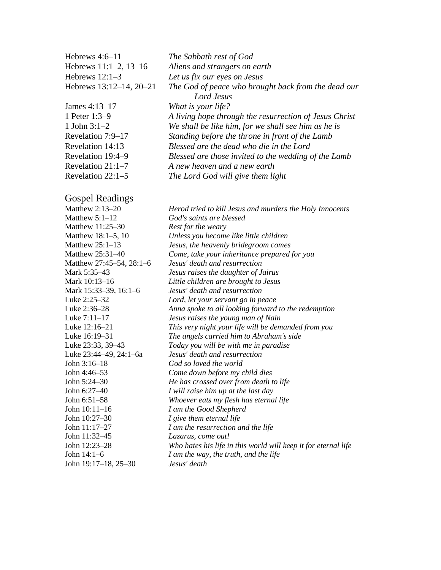| Hebrews $4:6-11$        | The Sabbath rest of God                                |
|-------------------------|--------------------------------------------------------|
| Hebrews 11:1-2, 13-16   | Aliens and strangers on earth                          |
| Hebrews $12:1-3$        | Let us fix our eyes on Jesus                           |
| Hebrews 13:12-14, 20-21 | The God of peace who brought back from the dead our    |
|                         | Lord Jesus                                             |
| James 4:13-17           | What is your life?                                     |
| 1 Peter 1:3–9           | A living hope through the resurrection of Jesus Christ |
| 1 John $3:1-2$          | We shall be like him, for we shall see him as he is    |
| Revelation 7:9–17       | Standing before the throne in front of the Lamb        |
| Revelation 14:13        | Blessed are the dead who die in the Lord               |
| Revelation 19:4–9       | Blessed are those invited to the wedding of the Lamb   |
| Revelation $21:1-7$     | A new heaven and a new earth                           |
| Revelation $22:1-5$     | The Lord God will give them light                      |
|                         |                                                        |

#### Gospel Readings

| Matthew 2:13–20          | Herod tried to kill Jesus and murders the Holy Innocents       |
|--------------------------|----------------------------------------------------------------|
| Matthew $5:1-12$         | God's saints are blessed                                       |
| Matthew 11:25–30         | Rest for the weary                                             |
| Matthew 18:1–5, 10       | Unless you become like little children                         |
| Matthew 25:1-13          | Jesus, the heavenly bridegroom comes                           |
| Matthew 25:31-40         | Come, take your inheritance prepared for you                   |
| Matthew 27:45–54, 28:1–6 | Jesus' death and resurrection                                  |
| Mark 5:35-43             | Jesus raises the daughter of Jairus                            |
| Mark 10:13-16            | Little children are brought to Jesus                           |
| Mark 15:33–39, 16:1–6    | Jesus' death and resurrection                                  |
| Luke 2:25-32             | Lord, let your servant go in peace                             |
| Luke 2:36–28             | Anna spoke to all looking forward to the redemption            |
| Luke 7:11–17             | Jesus raises the young man of Nain                             |
| Luke 12:16–21            | This very night your life will be demanded from you            |
| Luke 16:19–31            | The angels carried him to Abraham's side                       |
| Luke 23:33, 39–43        | Today you will be with me in paradise                          |
| Luke 23:44–49, 24:1–6a   | Jesus' death and resurrection                                  |
| John 3:16-18             | God so loved the world                                         |
| John 4:46–53             | Come down before my child dies                                 |
| John 5:24-30             | He has crossed over from death to life                         |
| John 6:27–40             | I will raise him up at the last day                            |
| John 6:51–58             | Whoever eats my flesh has eternal life                         |
| John 10:11–16            | I am the Good Shepherd                                         |
| John 10:27-30            | I give them eternal life                                       |
| John 11:17-27            | I am the resurrection and the life                             |
| John 11:32–45            | Lazarus, come out!                                             |
| John 12:23-28            | Who hates his life in this world will keep it for eternal life |
| John 14:1–6              | I am the way, the truth, and the life                          |
| John 19:17–18, 25–30     | Jesus' death                                                   |
|                          |                                                                |